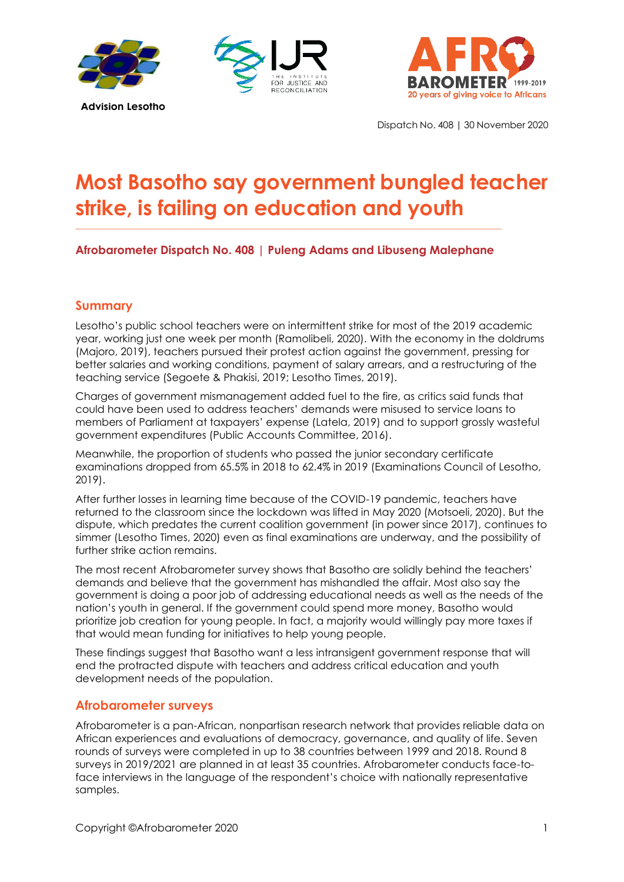





Dispatch No. 408 | 30 November 2020

# **Most Basotho say government bungled teacher strike, is failing on education and youth**

# **Afrobarometer Dispatch No. 408 | Puleng Adams and Libuseng Malephane**

**\_\_\_\_\_\_\_\_\_\_\_\_\_\_\_\_\_\_\_\_\_\_\_\_\_\_\_\_\_\_\_\_\_\_\_\_\_\_\_\_\_\_\_\_\_\_\_\_\_\_\_\_\_\_\_\_\_\_\_\_\_\_\_\_\_\_\_\_\_\_\_\_\_\_\_\_\_\_\_\_\_\_\_\_\_\_\_\_\_\_\_\_\_\_\_\_\_\_\_\_\_\_\_\_\_\_\_**

## **Summary**

Lesotho's public school teachers were on intermittent strike for most of the 2019 academic year, working just one week per month (Ramolibeli, 2020). With the economy in the doldrums (Majoro, 2019), teachers pursued their protest action against the government, pressing for better salaries and working conditions, payment of salary arrears, and a restructuring of the teaching service (Segoete & Phakisi, 2019; Lesotho Times, 2019).

Charges of government mismanagement added fuel to the fire, as critics said funds that could have been used to address teachers' demands were misused to service loans to members of Parliament at taxpayers' expense (Latela, 2019) and to support grossly wasteful government expenditures (Public Accounts Committee, 2016).

Meanwhile, the proportion of students who passed the junior secondary certificate examinations dropped from 65.5% in 2018 to 62.4% in 2019 (Examinations Council of Lesotho, 2019).

After further losses in learning time because of the COVID-19 pandemic, teachers have returned to the classroom since the lockdown was lifted in May 2020 (Motsoeli, 2020). But the dispute, which predates the current coalition government (in power since 2017), continues to simmer (Lesotho Times, 2020) even as final examinations are underway, and the possibility of further strike action remains.

The most recent Afrobarometer survey shows that Basotho are solidly behind the teachers' demands and believe that the government has mishandled the affair. Most also say the government is doing a poor job of addressing educational needs as well as the needs of the nation's youth in general. If the government could spend more money, Basotho would prioritize job creation for young people. In fact, a majority would willingly pay more taxes if that would mean funding for initiatives to help young people.

These findings suggest that Basotho want a less intransigent government response that will end the protracted dispute with teachers and address critical education and youth development needs of the population.

## **Afrobarometer surveys**

Afrobarometer is a pan-African, nonpartisan research network that provides reliable data on African experiences and evaluations of democracy, governance, and quality of life. Seven rounds of surveys were completed in up to 38 countries between 1999 and 2018. Round 8 surveys in 2019/2021 are planned in at least 35 countries. Afrobarometer conducts face-toface interviews in the language of the respondent's choice with nationally representative samples.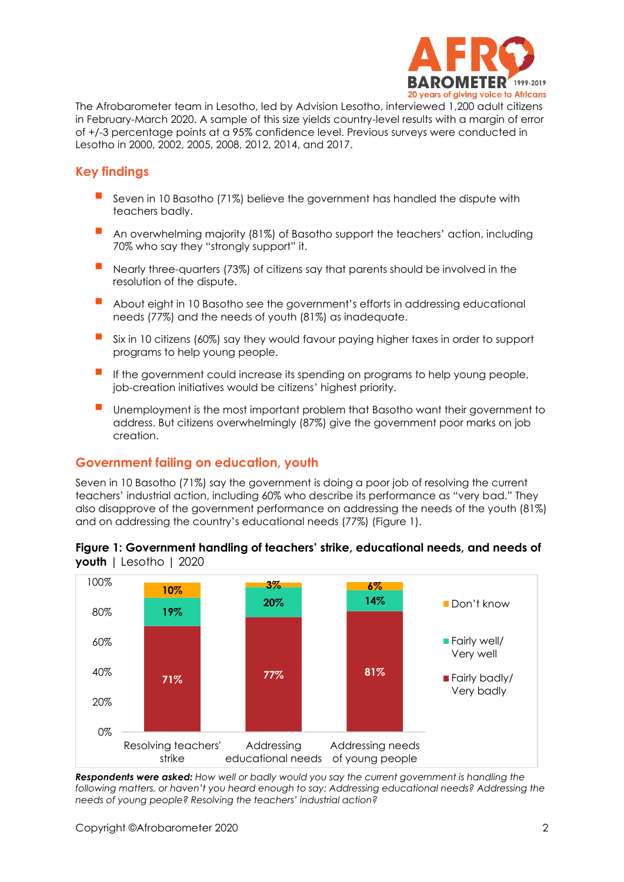

The Afrobarometer team in Lesotho, led by Advision Lesotho, interviewed 1,200 adult citizens in February-March 2020. A sample of this size yields country-level results with a margin of error of +/-3 percentage points at a 95% confidence level. Previous surveys were conducted in Lesotho in 2000, 2002, 2005, 2008, 2012, 2014, and 2017.

# **Key findings**

- Seven in 10 Basotho (71%) believe the government has handled the dispute with teachers badly.
- An overwhelming majority (81%) of Basotho support the teachers' action, including 70% who say they "strongly support" it.
- Nearly three-quarters (73%) of citizens say that parents should be involved in the resolution of the dispute.
- About eight in 10 Basotho see the government's efforts in addressing educational needs (77%) and the needs of youth (81%) as inadequate.
- Six in 10 citizens (60%) say they would favour paying higher taxes in order to support programs to help young people.
- If the government could increase its spending on programs to help young people, job-creation initiatives would be citizens' highest priority.
- Unemployment is the most important problem that Basotho want their government to address. But citizens overwhelmingly (87%) give the government poor marks on job creation.

## **Government failing on education, youth**

Seven in 10 Basotho (71%) say the government is doing a poor job of resolving the current teachers' industrial action, including 60% who describe its performance as "very bad." They also disapprove of the government performance on addressing the needs of the youth (81%) and on addressing the country's educational needs (77%) (Figure 1).

#### **Figure 1: Government handling of teachers' strike, educational needs, and needs of youth** | Lesotho | 2020



*Respondents were asked: How well or badly would you say the current government is handling the following matters, or haven't you heard enough to say: Addressing educational needs? Addressing the needs of young people? Resolving the teachers' industrial action?*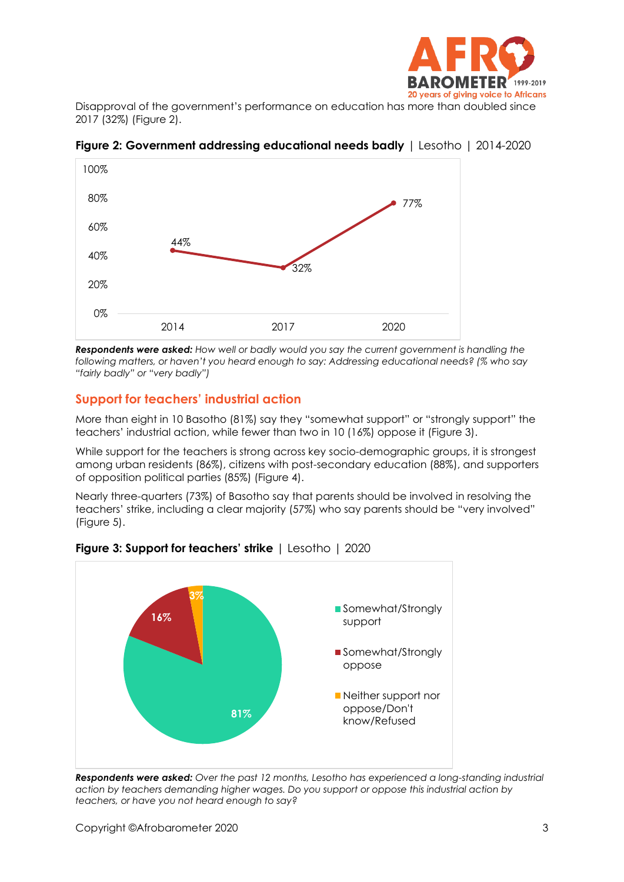

Disapproval of the government's performance on education has more than doubled since 2017 (32%) (Figure 2).



**Figure 2: Government addressing educational needs badly** | Lesotho | 2014-2020

*Respondents were asked: How well or badly would you say the current government is handling the following matters, or haven't you heard enough to say: Addressing educational needs? (% who say "fairly badly" or "very badly")*

# **Support for teachers' industrial action**

More than eight in 10 Basotho (81%) say they "somewhat support" or "strongly support" the teachers' industrial action, while fewer than two in 10 (16%) oppose it (Figure 3).

While support for the teachers is strong across key socio-demographic groups, it is strongest among urban residents (86%), citizens with post-secondary education (88%), and supporters of opposition political parties (85%) (Figure 4).

Nearly three-quarters (73%) of Basotho say that parents should be involved in resolving the teachers' strike, including a clear majority (57%) who say parents should be "very involved" (Figure 5).



**Figure 3: Support for teachers' strike** | Lesotho | 2020

*Respondents were asked: Over the past 12 months, Lesotho has experienced a long-standing industrial action by teachers demanding higher wages. Do you support or oppose this industrial action by teachers, or have you not heard enough to say?*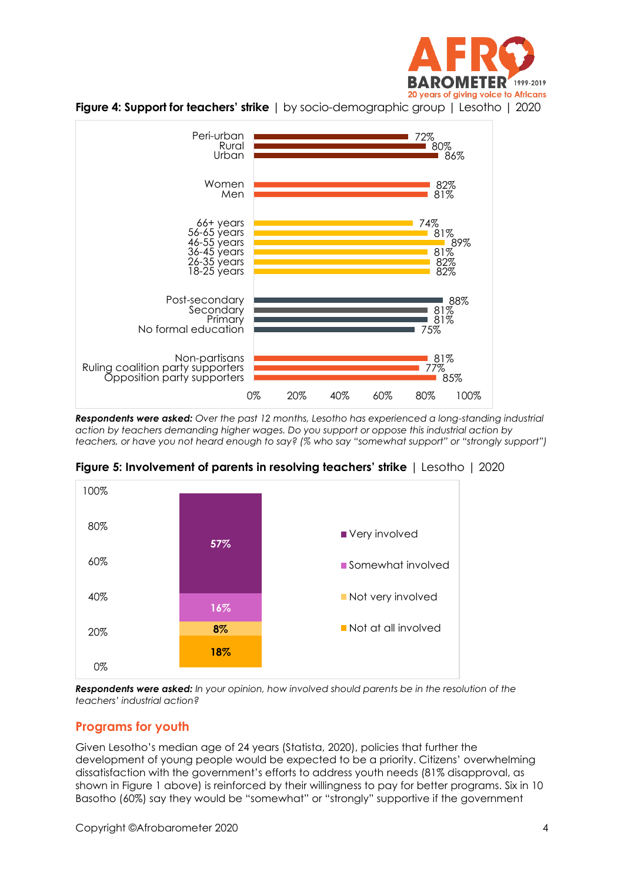





*Respondents were asked: Over the past 12 months, Lesotho has experienced a long-standing industrial action by teachers demanding higher wages. Do you support or oppose this industrial action by teachers, or have you not heard enough to say? (% who say "somewhat support" or "strongly support")*



**Figure 5: Involvement of parents in resolving teachers' strike** | Lesotho | 2020

*Respondents were asked: In your opinion, how involved should parents be in the resolution of the teachers' industrial action?*

## **Programs for youth**

Given Lesotho's median age of 24 years (Statista, 2020), policies that further the development of young people would be expected to be a priority. Citizens' overwhelming dissatisfaction with the government's efforts to address youth needs (81% disapproval, as shown in Figure 1 above) is reinforced by their willingness to pay for better programs. Six in 10 Basotho (60%) say they would be "somewhat" or "strongly" supportive if the government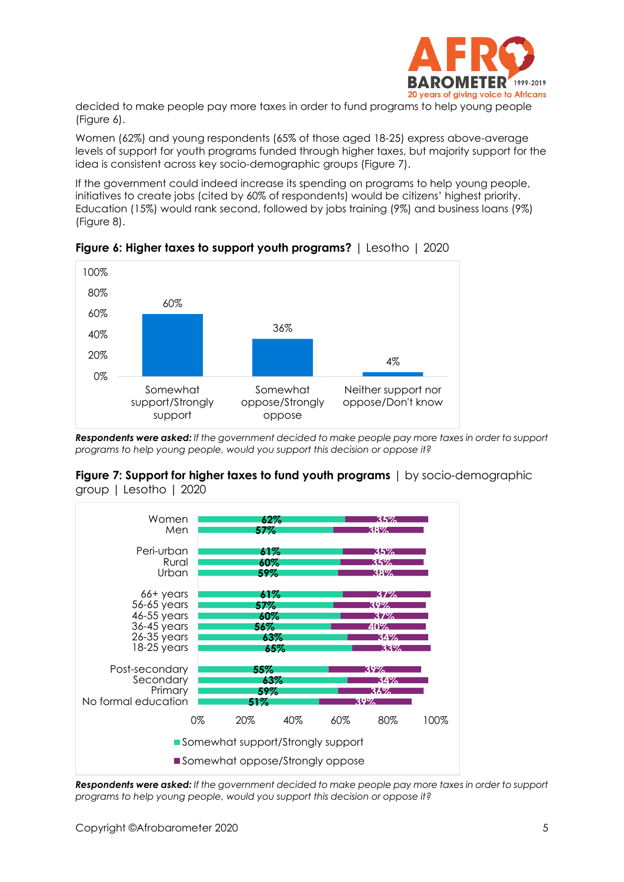

decided to make people pay more taxes in order to fund programs to help young people (Figure 6).

Women (62%) and young respondents (65% of those aged 18-25) express above-average levels of support for youth programs funded through higher taxes, but majority support for the idea is consistent across key socio-demographic groups (Figure 7).

If the government could indeed increase its spending on programs to help young people, initiatives to create jobs (cited by 60% of respondents) would be citizens' highest priority. Education (15%) would rank second, followed by jobs training (9%) and business loans (9%) (Figure 8).



**Figure 6: Higher taxes to support youth programs?** | Lesotho | 2020

*Respondents were asked: If the government decided to make people pay more taxes in order to support programs to help young people, would you support this decision or oppose it?*





*Respondents were asked: If the government decided to make people pay more taxes in order to support programs to help young people, would you support this decision or oppose it?*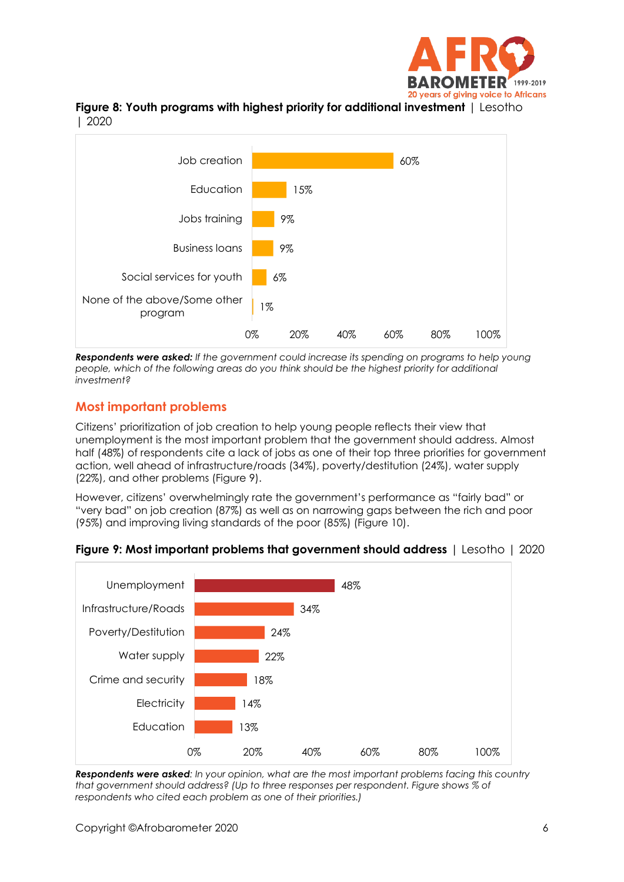





*Respondents were asked: If the government could increase its spending on programs to help young people, which of the following areas do you think should be the highest priority for additional investment?*

# **Most important problems**

Citizens' prioritization of job creation to help young people reflects their view that unemployment is the most important problem that the government should address. Almost half (48%) of respondents cite a lack of jobs as one of their top three priorities for government action, well ahead of infrastructure/roads (34%), poverty/destitution (24%), water supply (22%), and other problems (Figure 9).

However, citizens' overwhelmingly rate the government's performance as "fairly bad" or "very bad" on job creation (87%) as well as on narrowing gaps between the rich and poor (95%) and improving living standards of the poor (85%) (Figure 10).



#### **Figure 9: Most important problems that government should address** | Lesotho | 2020

*Respondents were asked: In your opinion, what are the most important problems facing this country that government should address? (Up to three responses per respondent. Figure shows % of respondents who cited each problem as one of their priorities.)*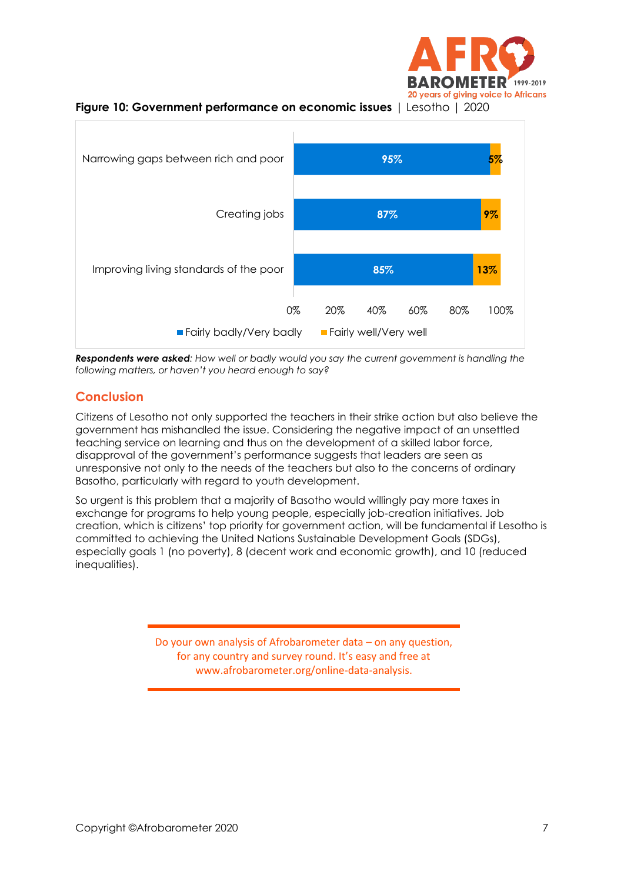





*Respondents were asked: How well or badly would you say the current government is handling the following matters, or haven't you heard enough to say?*

# **Conclusion**

Citizens of Lesotho not only supported the teachers in their strike action but also believe the government has mishandled the issue. Considering the negative impact of an unsettled teaching service on learning and thus on the development of a skilled labor force, disapproval of the government's performance suggests that leaders are seen as unresponsive not only to the needs of the teachers but also to the concerns of ordinary Basotho, particularly with regard to youth development.

So urgent is this problem that a majority of Basotho would willingly pay more taxes in exchange for programs to help young people, especially job-creation initiatives. Job creation, which is citizens' top priority for government action, will be fundamental if Lesotho is committed to achieving the United Nations Sustainable Development Goals (SDGs), especially goals 1 (no poverty), 8 (decent work and economic growth), and 10 (reduced inequalities).

> Do your own analysis of Afrobarometer data – on any question, for any country and survey round. It's easy and free at www.afrobarometer.org/online-data-analysis.